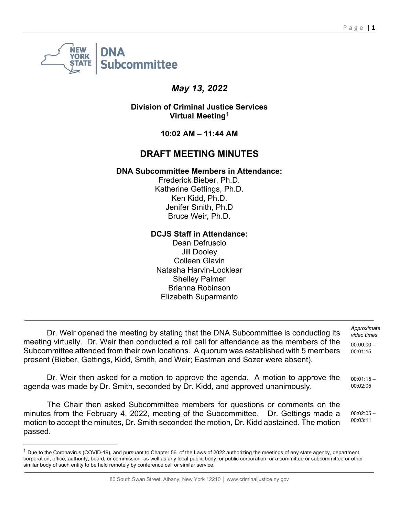

# *May 13, 2022*

**Division of Criminal Justice Services Virtual Meeting[1](#page-0-0)**

**10:02 AM – 11:44 AM**

## **DRAFT MEETING MINUTES**

### **DNA Subcommittee Members in Attendance:**

Frederick Bieber, Ph.D. Katherine Gettings, Ph.D. Ken Kidd, Ph.D. Jenifer Smith, Ph.D Bruce Weir, Ph.D.

#### **DCJS Staff in Attendance:**

Dean Defruscio Jill Dooley Colleen Glavin Natasha Harvin-Locklear Shelley Palmer Brianna Robinson Elizabeth Suparmanto

Dr. Weir opened the meeting by stating that the DNA Subcommittee is conducting its meeting virtually. Dr. Weir then conducted a roll call for attendance as the members of the Subcommittee attended from their own locations. A quorum was established with 5 members present (Bieber, Gettings, Kidd, Smith, and Weir; Eastman and Sozer were absent). *Approximate video times* 00:00:00 – 00:01:15

Dr. Weir then asked for a motion to approve the agenda. A motion to approve the agenda was made by Dr. Smith, seconded by Dr. Kidd, and approved unanimously. 00:01:15 – 00:02:05

The Chair then asked Subcommittee members for questions or comments on the minutes from the February 4, 2022, meeting of the Subcommittee. Dr. Gettings made a motion to accept the minutes, Dr. Smith seconded the motion, Dr. Kidd abstained. The motion passed.

00:02:05 – 00:03:11

<span id="page-0-0"></span> $^{\rm 1}$  Due to the Coronavirus (COVID-19), and pursuant to Chapter 56  $\,$  of the Laws of 2022 authorizing the meetings of any state agency, department, corporation, office, authority, board, or commission, as well as any local public body, or public corporation, or a committee or subcommittee or other similar body of such entity to be held remotely by conference call or similar service.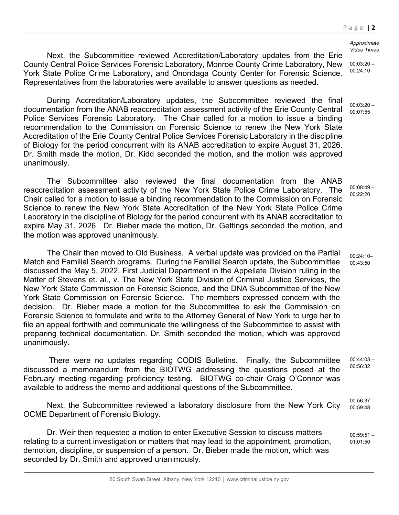#### *Approximate Video Times*

Next, the Subcommittee reviewed Accreditation/Laboratory updates from the Erie County Central Police Services Forensic Laboratory, Monroe County Crime Laboratory, New York State Police Crime Laboratory, and Onondaga County Center for Forensic Science. Representatives from the laboratories were available to answer questions as needed. 00:24:10

During Accreditation/Laboratory updates, the Subcommittee reviewed the final documentation from the ANAB reaccreditation assessment activity of the Erie County Central Police Services Forensic Laboratory. The Chair called for a motion to issue a binding recommendation to the Commission on Forensic Science to renew the New York State Accreditation of the Erie County Central Police Services Forensic Laboratory in the discipline of Biology for the period concurrent with its ANAB accreditation to expire August 31, 2026. Dr. Smith made the motion, Dr. Kidd seconded the motion, and the motion was approved unanimously.

The Subcommittee also reviewed the final documentation from the ANAB reaccreditation assessment activity of the New York State Police Crime Laboratory. The Chair called for a motion to issue a binding recommendation to the Commission on Forensic Science to renew the New York State Accreditation of the New York State Police Crime Laboratory in the discipline of Biology for the period concurrent with its ANAB accreditation to expire May 31, 2026. Dr. Bieber made the motion, Dr. Gettings seconded the motion, and the motion was approved unanimously.

The Chair then moved to Old Business. A verbal update was provided on the Partial Match and Familial Search programs. During the Familial Search update, the Subcommittee discussed the May 5, 2022, First Judicial Department in the Appellate Division ruling in the Matter of Stevens et. al., v. The New York State Division of Criminal Justice Services, the New York State Commission on Forensic Science, and the DNA Subcommittee of the New York State Commission on Forensic Science. The members expressed concern with the decision. Dr. Bieber made a motion for the Subcommittee to ask the Commission on Forensic Science to formulate and write to the Attorney General of New York to urge her to file an appeal forthwith and communicate the willingness of the Subcommittee to assist with preparing technical documentation. Dr. Smith seconded the motion, which was approved unanimously.

There were no updates regarding CODIS Bulletins. Finally, the Subcommittee discussed a memorandum from the BIOTWG addressing the questions posed at the February meeting regarding proficiency testing. BIOTWG co-chair Craig O'Connor was available to address the memo and additional questions of the Subcommittee.  $00:44:03-$ 00:56:32

Next, the Subcommittee reviewed a laboratory disclosure from the New York City OCME Department of Forensic Biology. 00:56:37 – 00:59:48

Dr. Weir then requested a motion to enter Executive Session to discuss matters relating to a current investigation or matters that may lead to the appointment, promotion, demotion, discipline, or suspension of a person. Dr. Bieber made the motion, which was seconded by Dr. Smith and approved unanimously.

00:03:20 –

 $00:03:20 -$ 00:07:55

 $00:08:49 -$ 00:22:20

 $00.24.10-$ 00:43:50

 $00:59:51 -$ 01:01:50